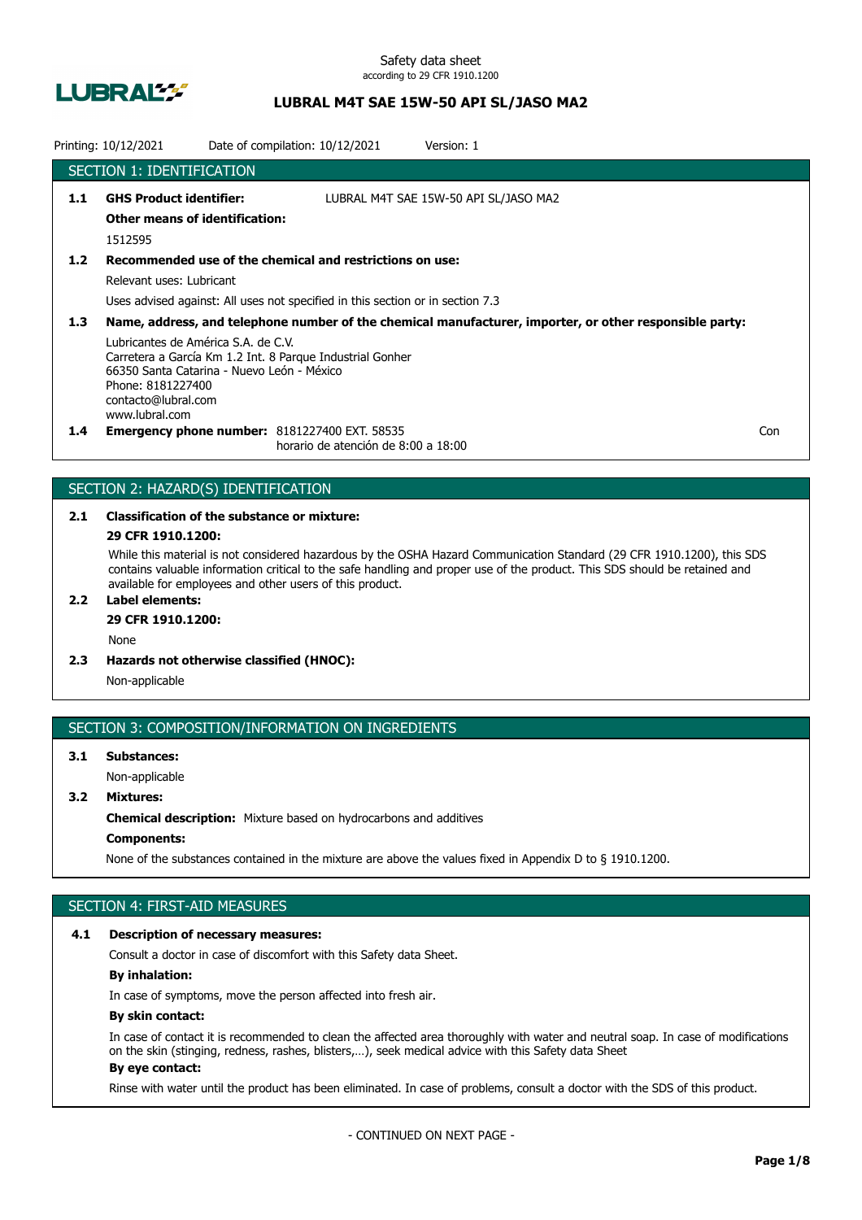

## **LUBRAL M4T SAE 15W-50 API SL/JASO MA2**

|                  | Printing: 10/12/2021                                                                                                                                                                                         | Date of compilation: 10/12/2021 |                                     | Version: 1                                                                                              |     |
|------------------|--------------------------------------------------------------------------------------------------------------------------------------------------------------------------------------------------------------|---------------------------------|-------------------------------------|---------------------------------------------------------------------------------------------------------|-----|
|                  | <b>SECTION 1: IDENTIFICATION</b>                                                                                                                                                                             |                                 |                                     |                                                                                                         |     |
| 1.1              | <b>GHS Product identifier:</b><br><b>Other means of identification:</b><br>1512595                                                                                                                           |                                 |                                     | LUBRAL M4T SAE 15W-50 API SL/JASO MA2                                                                   |     |
| 1.2              | Recommended use of the chemical and restrictions on use:<br>Relevant uses: Lubricant<br>Uses advised against: All uses not specified in this section or in section 7.3                                       |                                 |                                     |                                                                                                         |     |
| 1.3 <sub>2</sub> | Lubricantes de América S.A. de C.V.<br>Carretera a García Km 1.2 Int. 8 Parque Industrial Gonher<br>66350 Santa Catarina - Nuevo León - México<br>Phone: 8181227400<br>contacto@lubral.com<br>www.lubral.com |                                 |                                     | Name, address, and telephone number of the chemical manufacturer, importer, or other responsible party: |     |
| $1.4^{\circ}$    | <b>Emergency phone number: 8181227400 EXT. 58535</b>                                                                                                                                                         |                                 | horario de atención de 8:00 a 18:00 |                                                                                                         | Con |

## SECTION 2: HAZARD(S) IDENTIFICATION

# **2.1 Classification of the substance or mixture:**

## **29 CFR 1910.1200:**

While this material is not considered hazardous by the OSHA Hazard Communication Standard (29 CFR 1910.1200), this SDS contains valuable information critical to the safe handling and proper use of the product. This SDS should be retained and available for employees and other users of this product.

## **2.2 Label elements:**

## **29 CFR 1910.1200:**

None

**2.3 Hazards not otherwise classified (HNOC):**

Non-applicable

### SECTION 3: COMPOSITION/INFORMATION ON INGREDIENTS

## **3.1 Substances:** Non-applicable

## **3.2 Mixtures:**

**Chemical description:** Mixture based on hydrocarbons and additives

## **Components:**

None of the substances contained in the mixture are above the values fixed in Appendix D to § 1910.1200.

## SECTION 4: FIRST-AID MEASURES

#### **4.1 Description of necessary measures:**

Consult a doctor in case of discomfort with this Safety data Sheet.

### **By inhalation:**

In case of symptoms, move the person affected into fresh air.

### **By skin contact:**

In case of contact it is recommended to clean the affected area thoroughly with water and neutral soap. In case of modifications on the skin (stinging, redness, rashes, blisters,…), seek medical advice with this Safety data Sheet **By eye contact:**

#### Rinse with water until the product has been eliminated. In case of problems, consult a doctor with the SDS of this product.

- CONTINUED ON NEXT PAGE -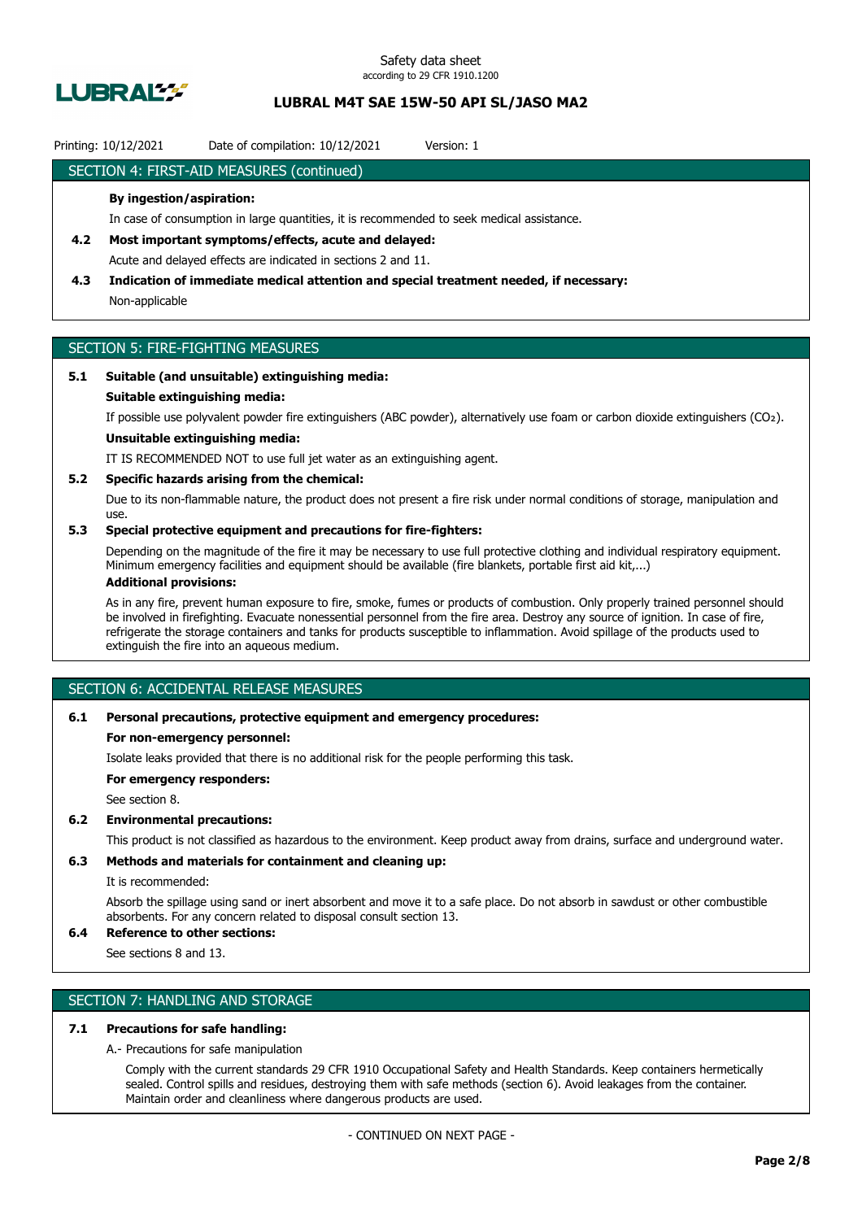

## **LUBRAL M4T SAE 15W-50 API SL/JASO MA2**

### Printing: 10/12/2021 Date of compilation: 10/12/2021 Version: 1

### SECTION 4: FIRST-AID MEASURES (continued)

### **By ingestion/aspiration:**

In case of consumption in large quantities, it is recommended to seek medical assistance.

- **4.2 Most important symptoms/effects, acute and delayed:** Acute and delayed effects are indicated in sections 2 and 11.
- **4.3 Indication of immediate medical attention and special treatment needed, if necessary:** Non-applicable

## SECTION 5: FIRE-FIGHTING MEASURES

### **5.1 Suitable (and unsuitable) extinguishing media:**

#### **Suitable extinguishing media:**

If possible use polyvalent powder fire extinguishers (ABC powder), alternatively use foam or carbon dioxide extinguishers (CO₂).

## **Unsuitable extinguishing media:**

IT IS RECOMMENDED NOT to use full jet water as an extinguishing agent.

#### **5.2 Specific hazards arising from the chemical:**

Due to its non-flammable nature, the product does not present a fire risk under normal conditions of storage, manipulation and use.

### **5.3 Special protective equipment and precautions for fire-fighters:**

Depending on the magnitude of the fire it may be necessary to use full protective clothing and individual respiratory equipment. Minimum emergency facilities and equipment should be available (fire blankets, portable first aid kit,...)

### **Additional provisions:**

As in any fire, prevent human exposure to fire, smoke, fumes or products of combustion. Only properly trained personnel should be involved in firefighting. Evacuate nonessential personnel from the fire area. Destroy any source of ignition. In case of fire, refrigerate the storage containers and tanks for products susceptible to inflammation. Avoid spillage of the products used to extinguish the fire into an aqueous medium.

## SECTION 6: ACCIDENTAL RELEASE MEASURES

#### **6.1 Personal precautions, protective equipment and emergency procedures:**

#### **For non-emergency personnel:**

Isolate leaks provided that there is no additional risk for the people performing this task.

**For emergency responders:**

See section 8.

### **6.2 Environmental precautions:**

This product is not classified as hazardous to the environment. Keep product away from drains, surface and underground water.

### **6.3 Methods and materials for containment and cleaning up:**

It is recommended:

Absorb the spillage using sand or inert absorbent and move it to a safe place. Do not absorb in sawdust or other combustible absorbents. For any concern related to disposal consult section 13.

### **6.4 Reference to other sections:**

See sections 8 and 13.

## SECTION 7: HANDLING AND STORAGE

#### **7.1 Precautions for safe handling:**

A.- Precautions for safe manipulation

Comply with the current standards 29 CFR 1910 Occupational Safety and Health Standards. Keep containers hermetically sealed. Control spills and residues, destroying them with safe methods (section 6). Avoid leakages from the container. Maintain order and cleanliness where dangerous products are used.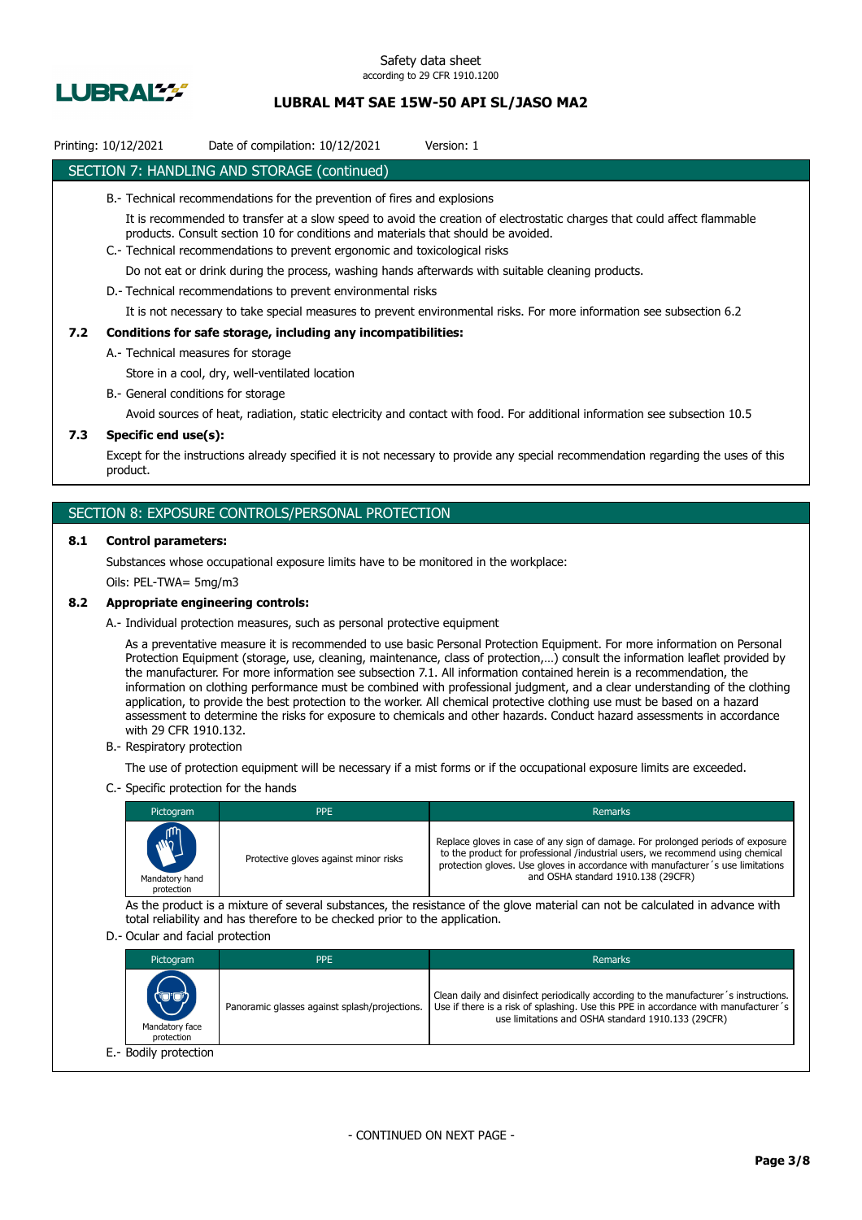

## **LUBRAL M4T SAE 15W-50 API SL/JASO MA2**

#### Printing: 10/12/2021 Date of compilation: 10/12/2021 Version: 1

### SECTION 7: HANDLING AND STORAGE (continued)

#### B.- Technical recommendations for the prevention of fires and explosions

It is recommended to transfer at a slow speed to avoid the creation of electrostatic charges that could affect flammable products. Consult section 10 for conditions and materials that should be avoided.

C.- Technical recommendations to prevent ergonomic and toxicological risks

Do not eat or drink during the process, washing hands afterwards with suitable cleaning products.

D.- Technical recommendations to prevent environmental risks

It is not necessary to take special measures to prevent environmental risks. For more information see subsection 6.2

#### **7.2 Conditions for safe storage, including any incompatibilities:**

A.- Technical measures for storage

Store in a cool, dry, well-ventilated location

B.- General conditions for storage

Avoid sources of heat, radiation, static electricity and contact with food. For additional information see subsection 10.5

### **7.3 Specific end use(s):**

Except for the instructions already specified it is not necessary to provide any special recommendation regarding the uses of this product.

### SECTION 8: EXPOSURE CONTROLS/PERSONAL PROTECTION

#### **8.1 Control parameters:**

Substances whose occupational exposure limits have to be monitored in the workplace:

Oils: PEL-TWA= 5mg/m3

#### **8.2 Appropriate engineering controls:**

A.- Individual protection measures, such as personal protective equipment

As a preventative measure it is recommended to use basic Personal Protection Equipment. For more information on Personal Protection Equipment (storage, use, cleaning, maintenance, class of protection,…) consult the information leaflet provided by the manufacturer. For more information see subsection 7.1. All information contained herein is a recommendation, the information on clothing performance must be combined with professional judgment, and a clear understanding of the clothing application, to provide the best protection to the worker. All chemical protective clothing use must be based on a hazard assessment to determine the risks for exposure to chemicals and other hazards. Conduct hazard assessments in accordance with 29 CFR 1910.132.

B.- Respiratory protection

The use of protection equipment will be necessary if a mist forms or if the occupational exposure limits are exceeded.

C.- Specific protection for the hands

| Pictogram                                  | <b>PPE</b>                            | <b>Remarks</b>                                                                                                                                                                                                                                                                             |
|--------------------------------------------|---------------------------------------|--------------------------------------------------------------------------------------------------------------------------------------------------------------------------------------------------------------------------------------------------------------------------------------------|
| <b>AND</b><br>Mandatory hand<br>protection | Protective gloves against minor risks | Replace gloves in case of any sign of damage. For prolonged periods of exposure<br>to the product for professional /industrial users, we recommend using chemical<br>protection gloves. Use gloves in accordance with manufacturer's use limitations<br>and OSHA standard 1910.138 (29CFR) |

As the product is a mixture of several substances, the resistance of the glove material can not be calculated in advance with total reliability and has therefore to be checked prior to the application.

#### D.- Ocular and facial protection

| Pictogram                             | <b>PPE</b>                                    | Remarks                                                                                                                                                                                                                           |
|---------------------------------------|-----------------------------------------------|-----------------------------------------------------------------------------------------------------------------------------------------------------------------------------------------------------------------------------------|
| (U'U)<br>Mandatory face<br>protection | Panoramic glasses against splash/projections. | Clean daily and disinfect periodically according to the manufacturer's instructions.<br>Use if there is a risk of splashing. Use this PPE in accordance with manufacturer's<br>use limitations and OSHA standard 1910.133 (29CFR) |
| E.- Bodily protection                 |                                               |                                                                                                                                                                                                                                   |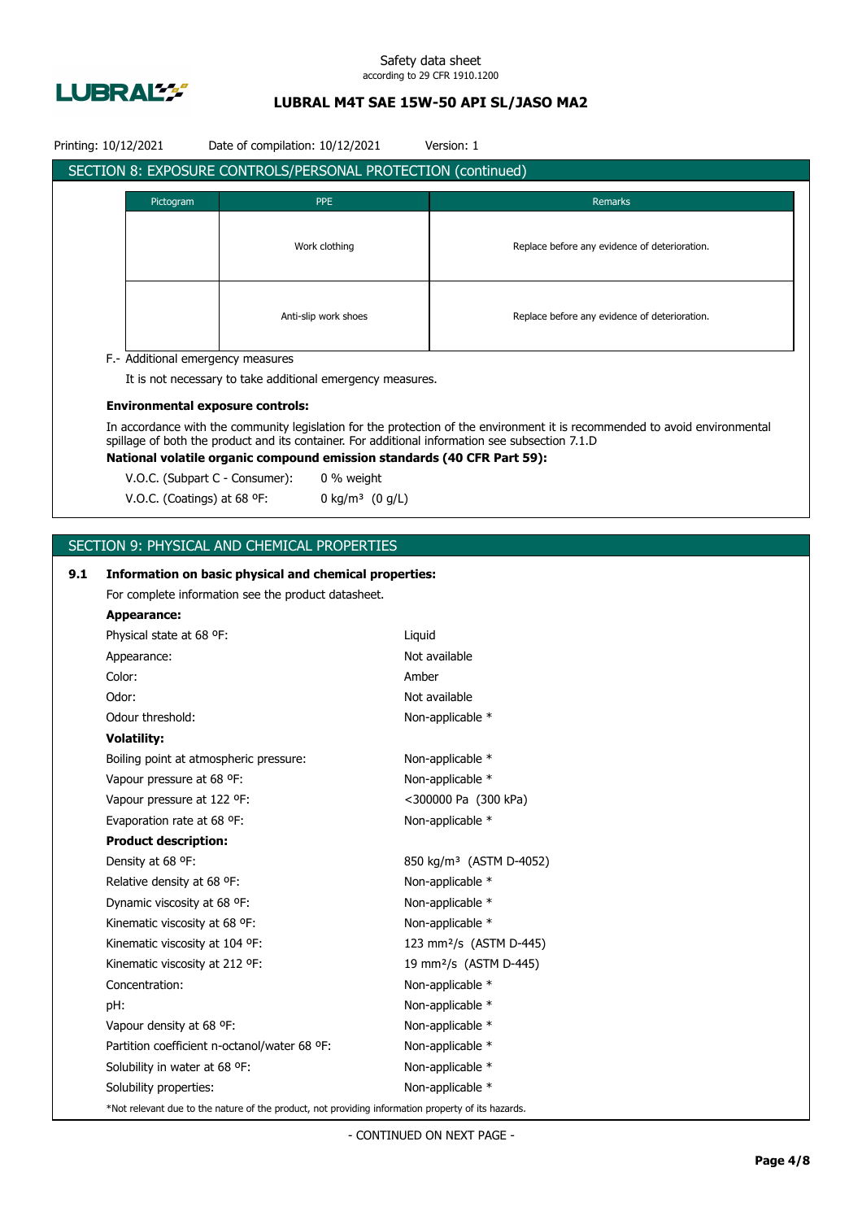

## **LUBRAL M4T SAE 15W-50 API SL/JASO MA2**

|     | Printing: 10/12/2021                             | Date of compilation: 10/12/2021                                                                    |        | Version: 1                                                                                                                                                                                                                     |  |
|-----|--------------------------------------------------|----------------------------------------------------------------------------------------------------|--------|--------------------------------------------------------------------------------------------------------------------------------------------------------------------------------------------------------------------------------|--|
|     |                                                  | <b>SECTION 8: EXPOSURE CONTROLS/PERSONAL PROTECTION (continued)</b>                                |        |                                                                                                                                                                                                                                |  |
|     |                                                  |                                                                                                    |        |                                                                                                                                                                                                                                |  |
|     | Pictogram                                        | <b>PPE</b>                                                                                         |        | Remarks                                                                                                                                                                                                                        |  |
|     |                                                  |                                                                                                    |        | Replace before any evidence of deterioration.                                                                                                                                                                                  |  |
|     |                                                  | Work clothing                                                                                      |        |                                                                                                                                                                                                                                |  |
|     |                                                  |                                                                                                    |        |                                                                                                                                                                                                                                |  |
|     |                                                  |                                                                                                    |        |                                                                                                                                                                                                                                |  |
|     |                                                  | Anti-slip work shoes                                                                               |        | Replace before any evidence of deterioration.                                                                                                                                                                                  |  |
|     |                                                  |                                                                                                    |        |                                                                                                                                                                                                                                |  |
|     | F.- Additional emergency measures                |                                                                                                    |        |                                                                                                                                                                                                                                |  |
|     |                                                  | It is not necessary to take additional emergency measures.                                         |        |                                                                                                                                                                                                                                |  |
|     | <b>Environmental exposure controls:</b>          |                                                                                                    |        |                                                                                                                                                                                                                                |  |
|     |                                                  |                                                                                                    |        | In accordance with the community legislation for the protection of the environment it is recommended to avoid environmental<br>spillage of both the product and its container. For additional information see subsection 7.1.D |  |
|     |                                                  | National volatile organic compound emission standards (40 CFR Part 59):                            |        |                                                                                                                                                                                                                                |  |
|     | V.O.C. (Subpart C - Consumer):                   | 0 % weight                                                                                         |        |                                                                                                                                                                                                                                |  |
|     | V.O.C. (Coatings) at 68 °F:                      | 0 kg/m <sup>3</sup> $(0 g/L)$                                                                      |        |                                                                                                                                                                                                                                |  |
|     |                                                  |                                                                                                    |        |                                                                                                                                                                                                                                |  |
|     |                                                  | SECTION 9: PHYSICAL AND CHEMICAL PROPERTIES                                                        |        |                                                                                                                                                                                                                                |  |
|     |                                                  |                                                                                                    |        |                                                                                                                                                                                                                                |  |
| 9.1 |                                                  | Information on basic physical and chemical properties:                                             |        |                                                                                                                                                                                                                                |  |
|     |                                                  | For complete information see the product datasheet.                                                |        |                                                                                                                                                                                                                                |  |
|     | <b>Appearance:</b>                               |                                                                                                    |        |                                                                                                                                                                                                                                |  |
|     | Physical state at 68 °F:                         |                                                                                                    | Liquid |                                                                                                                                                                                                                                |  |
|     | Appearance:                                      |                                                                                                    |        | Not available                                                                                                                                                                                                                  |  |
|     | Color:                                           |                                                                                                    | Amber  |                                                                                                                                                                                                                                |  |
|     | Odor:                                            |                                                                                                    |        | Not available                                                                                                                                                                                                                  |  |
|     | Odour threshold:<br>Non-applicable *             |                                                                                                    |        |                                                                                                                                                                                                                                |  |
|     | <b>Volatility:</b>                               |                                                                                                    |        |                                                                                                                                                                                                                                |  |
|     | Boiling point at atmospheric pressure:           |                                                                                                    |        | Non-applicable *                                                                                                                                                                                                               |  |
|     | Vapour pressure at 68 °F:                        |                                                                                                    |        | Non-applicable *                                                                                                                                                                                                               |  |
|     | Vapour pressure at 122 °F:                       |                                                                                                    |        | <300000 Pa (300 kPa)                                                                                                                                                                                                           |  |
|     | Evaporation rate at 68 °F:                       |                                                                                                    |        | Non-applicable *                                                                                                                                                                                                               |  |
|     | <b>Product description:</b><br>Density at 68 °F: |                                                                                                    |        |                                                                                                                                                                                                                                |  |
|     | Relative density at 68 °F:                       |                                                                                                    |        | 850 kg/m <sup>3</sup> (ASTM D-4052)<br>Non-applicable *                                                                                                                                                                        |  |
|     | Dynamic viscosity at 68 °F:                      |                                                                                                    |        | Non-applicable *                                                                                                                                                                                                               |  |
|     | Kinematic viscosity at 68 °F:                    |                                                                                                    |        | Non-applicable *                                                                                                                                                                                                               |  |
|     | Kinematic viscosity at 104 °F:                   |                                                                                                    |        | 123 mm <sup>2</sup> /s (ASTM D-445)                                                                                                                                                                                            |  |
|     | Kinematic viscosity at 212 °F:                   |                                                                                                    |        | 19 mm <sup>2</sup> /s (ASTM D-445)                                                                                                                                                                                             |  |
|     | Concentration:                                   |                                                                                                    |        | Non-applicable *                                                                                                                                                                                                               |  |
|     | pH:                                              |                                                                                                    |        | Non-applicable *                                                                                                                                                                                                               |  |
|     | Vapour density at 68 °F:                         |                                                                                                    |        | Non-applicable *                                                                                                                                                                                                               |  |
|     |                                                  | Partition coefficient n-octanol/water 68 °F:                                                       |        | Non-applicable *                                                                                                                                                                                                               |  |
|     | Solubility in water at 68 °F:                    |                                                                                                    |        | Non-applicable *                                                                                                                                                                                                               |  |
|     | Solubility properties:                           |                                                                                                    |        | Non-applicable *                                                                                                                                                                                                               |  |
|     |                                                  | *Not relevant due to the nature of the product, not providing information property of its hazards. |        |                                                                                                                                                                                                                                |  |
|     |                                                  |                                                                                                    |        |                                                                                                                                                                                                                                |  |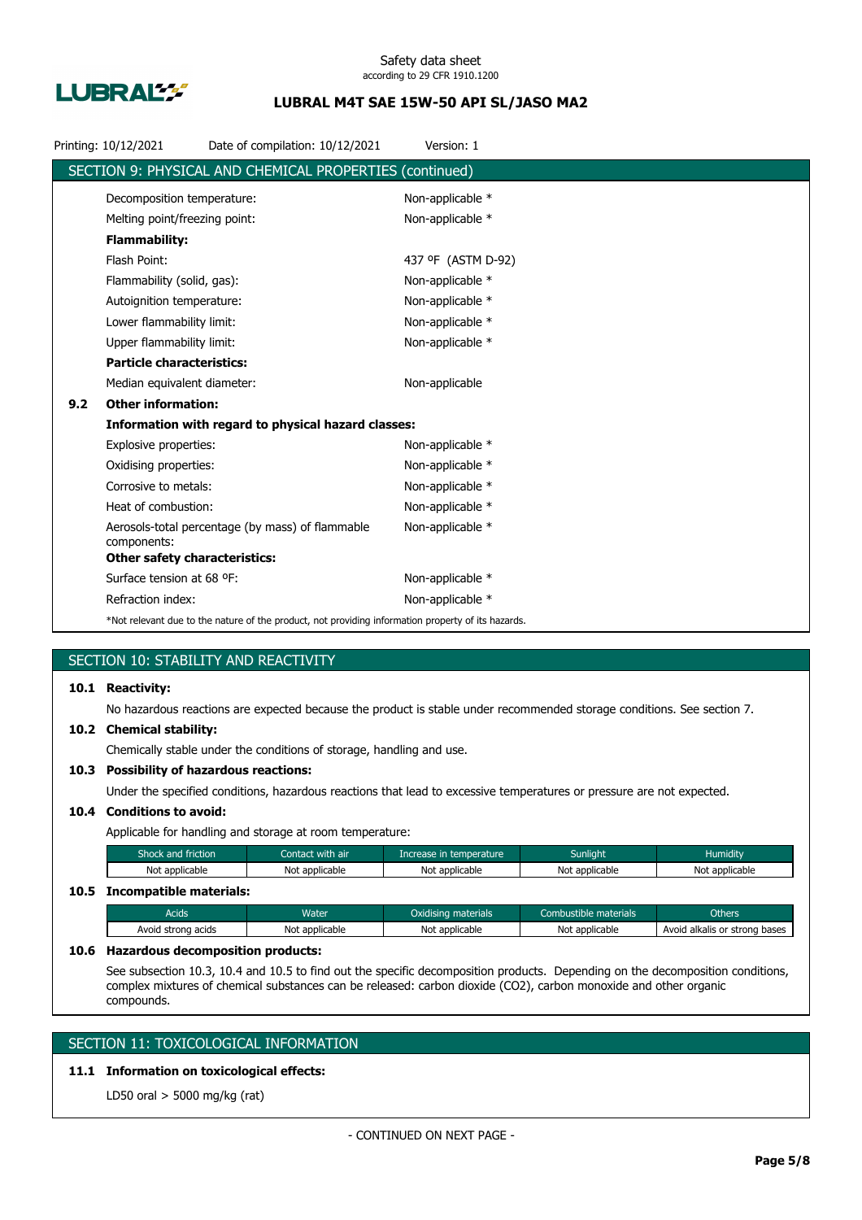

## **LUBRAL M4T SAE 15W-50 API SL/JASO MA2**

|     | Printing: 10/12/2021                 | Date of compilation: 10/12/2021                                                                    | Version: 1         |
|-----|--------------------------------------|----------------------------------------------------------------------------------------------------|--------------------|
|     |                                      | SECTION 9: PHYSICAL AND CHEMICAL PROPERTIES (continued)                                            |                    |
|     | Decomposition temperature:           |                                                                                                    | Non-applicable *   |
|     | Melting point/freezing point:        |                                                                                                    | Non-applicable *   |
|     | <b>Flammability:</b>                 |                                                                                                    |                    |
|     | Flash Point:                         |                                                                                                    | 437 °F (ASTM D-92) |
|     | Flammability (solid, gas):           |                                                                                                    | Non-applicable *   |
|     | Autoignition temperature:            |                                                                                                    | Non-applicable *   |
|     | Lower flammability limit:            |                                                                                                    | Non-applicable *   |
|     | Upper flammability limit:            |                                                                                                    | Non-applicable *   |
|     | <b>Particle characteristics:</b>     |                                                                                                    |                    |
|     | Median equivalent diameter:          |                                                                                                    | Non-applicable     |
| 9.2 | <b>Other information:</b>            |                                                                                                    |                    |
|     |                                      | Information with regard to physical hazard classes:                                                |                    |
|     | Explosive properties:                |                                                                                                    | Non-applicable *   |
|     | Oxidising properties:                |                                                                                                    | Non-applicable *   |
|     | Corrosive to metals:                 |                                                                                                    | Non-applicable *   |
|     | Heat of combustion:                  |                                                                                                    | Non-applicable *   |
|     | components:                          | Aerosols-total percentage (by mass) of flammable                                                   | Non-applicable *   |
|     | <b>Other safety characteristics:</b> |                                                                                                    |                    |
|     | Surface tension at 68 °F:            |                                                                                                    | Non-applicable *   |
|     | Refraction index:                    |                                                                                                    | Non-applicable *   |
|     |                                      | *Not relevant due to the nature of the product, not providing information property of its hazards. |                    |

## SECTION 10: STABILITY AND REACTIVITY

## **10.1 Reactivity:**

No hazardous reactions are expected because the product is stable under recommended storage conditions. See section 7.

#### **10.2 Chemical stability:**

Chemically stable under the conditions of storage, handling and use.

## **10.3 Possibility of hazardous reactions:**

Under the specified conditions, hazardous reactions that lead to excessive temperatures or pressure are not expected.

### **10.4 Conditions to avoid:**

Applicable for handling and storage at room temperature:

| Shock and friction           | Contact with air | Increase in temperature | <b>Sunlight</b> | <b>Humidity</b> |
|------------------------------|------------------|-------------------------|-----------------|-----------------|
| Not applicable               | Not applicable   | Not applicable          | Not applicable  | Not applicable  |
| 10.5 Incompatible materials: |                  |                         |                 |                 |

## Acids **Water Water Coxidising materials** Combustible materials Chhers Others Avoid strong acids Not applicable Not applicable Not applicable Not applicable Avoid alkalis or strong bases

#### **10.6 Hazardous decomposition products:**

See subsection 10.3, 10.4 and 10.5 to find out the specific decomposition products. Depending on the decomposition conditions, complex mixtures of chemical substances can be released: carbon dioxide (CO2), carbon monoxide and other organic compounds.

## SECTION 11: TOXICOLOGICAL INFORMATION

## **11.1 Information on toxicological effects:**

LD50 oral > 5000 mg/kg (rat)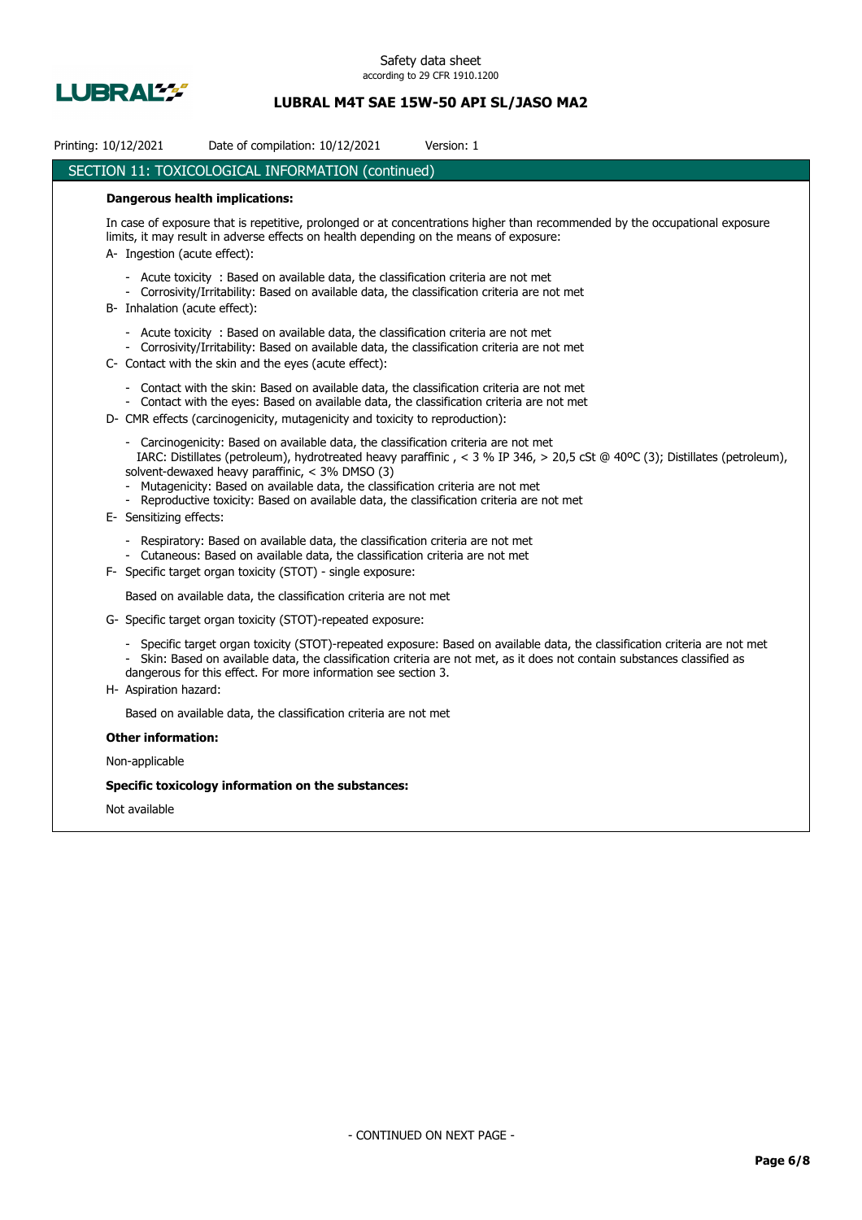

# **LUBRAL M4T SAE 15W-50 API SL/JASO MA2**

| Printing: 10/12/2021<br>Date of compilation: 10/12/2021<br>Version: 1                                                                                                                                                                                                                                                                                                                                                                                                           |
|---------------------------------------------------------------------------------------------------------------------------------------------------------------------------------------------------------------------------------------------------------------------------------------------------------------------------------------------------------------------------------------------------------------------------------------------------------------------------------|
| SECTION 11: TOXICOLOGICAL INFORMATION (continued)                                                                                                                                                                                                                                                                                                                                                                                                                               |
| <b>Dangerous health implications:</b>                                                                                                                                                                                                                                                                                                                                                                                                                                           |
| In case of exposure that is repetitive, prolonged or at concentrations higher than recommended by the occupational exposure<br>limits, it may result in adverse effects on health depending on the means of exposure:<br>A- Ingestion (acute effect):                                                                                                                                                                                                                           |
| - Acute toxicity : Based on available data, the classification criteria are not met<br>- Corrosivity/Irritability: Based on available data, the classification criteria are not met<br>B- Inhalation (acute effect):                                                                                                                                                                                                                                                            |
| - Acute toxicity : Based on available data, the classification criteria are not met<br>- Corrosivity/Irritability: Based on available data, the classification criteria are not met<br>C- Contact with the skin and the eyes (acute effect):                                                                                                                                                                                                                                    |
| Contact with the skin: Based on available data, the classification criteria are not met<br>- Contact with the eyes: Based on available data, the classification criteria are not met<br>D- CMR effects (carcinogenicity, mutagenicity and toxicity to reproduction):                                                                                                                                                                                                            |
| - Carcinogenicity: Based on available data, the classification criteria are not met<br>IARC: Distillates (petroleum), hydrotreated heavy paraffinic, < 3 % IP 346, > 20,5 cSt @ 40°C (3); Distillates (petroleum),<br>solvent-dewaxed heavy paraffinic, < 3% DMSO (3)<br>Mutagenicity: Based on available data, the classification criteria are not met<br>- Reproductive toxicity: Based on available data, the classification criteria are not met<br>E- Sensitizing effects: |
| - Respiratory: Based on available data, the classification criteria are not met<br>- Cutaneous: Based on available data, the classification criteria are not met<br>F- Specific target organ toxicity (STOT) - single exposure:                                                                                                                                                                                                                                                 |
| Based on available data, the classification criteria are not met                                                                                                                                                                                                                                                                                                                                                                                                                |
| G- Specific target organ toxicity (STOT)-repeated exposure:                                                                                                                                                                                                                                                                                                                                                                                                                     |
| Specific target organ toxicity (STOT)-repeated exposure: Based on available data, the classification criteria are not met<br>- Skin: Based on available data, the classification criteria are not met, as it does not contain substances classified as<br>dangerous for this effect. For more information see section 3.<br>H- Aspiration hazard:                                                                                                                               |
| Based on available data, the classification criteria are not met                                                                                                                                                                                                                                                                                                                                                                                                                |
| <b>Other information:</b>                                                                                                                                                                                                                                                                                                                                                                                                                                                       |
| Non-applicable                                                                                                                                                                                                                                                                                                                                                                                                                                                                  |
| Specific toxicology information on the substances:                                                                                                                                                                                                                                                                                                                                                                                                                              |
| Not available                                                                                                                                                                                                                                                                                                                                                                                                                                                                   |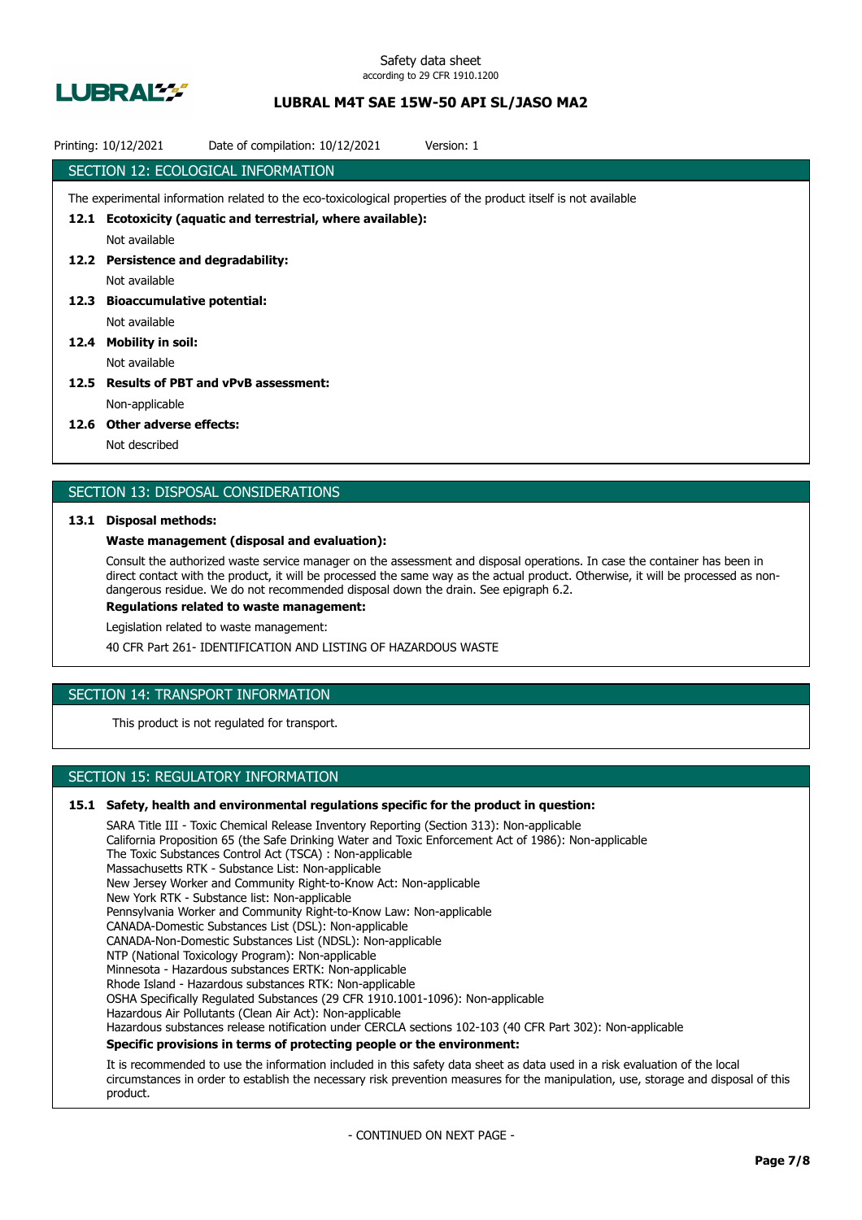

## **LUBRAL M4T SAE 15W-50 API SL/JASO MA2**

| Date of compilation: 10/12/2021<br>Printing: 10/12/2021<br>Version: 1                                           |
|-----------------------------------------------------------------------------------------------------------------|
| SECTION 12: ECOLOGICAL INFORMATION                                                                              |
| The experimental information related to the eco-toxicological properties of the product itself is not available |
| 12.1 Ecotoxicity (aquatic and terrestrial, where available):                                                    |
| Not available                                                                                                   |
| 12.2 Persistence and degradability:                                                                             |
| Not available                                                                                                   |
| 12.3 Bioaccumulative potential:                                                                                 |
| Not available                                                                                                   |
| 12.4 Mobility in soil:                                                                                          |
| Not available                                                                                                   |
| 12.5 Results of PBT and vPvB assessment:                                                                        |
| Non-applicable                                                                                                  |
| $136$ C Other reduces offerting                                                                                 |

#### **12.6 Other adverse effects:**

Not described

### SECTION 13: DISPOSAL CONSIDERATIONS

#### **13.1 Disposal methods:**

#### **Waste management (disposal and evaluation):**

Consult the authorized waste service manager on the assessment and disposal operations. In case the container has been in direct contact with the product, it will be processed the same way as the actual product. Otherwise, it will be processed as nondangerous residue. We do not recommended disposal down the drain. See epigraph 6.2.

**Regulations related to waste management:**

Legislation related to waste management:

40 CFR Part 261- IDENTIFICATION AND LISTING OF HAZARDOUS WASTE

## SECTION 14: TRANSPORT INFORMATION

This product is not regulated for transport.

### SECTION 15: REGULATORY INFORMATION

#### **15.1 Safety, health and environmental regulations specific for the product in question:**

SARA Title III - Toxic Chemical Release Inventory Reporting (Section 313): Non-applicable California Proposition 65 (the Safe Drinking Water and Toxic Enforcement Act of 1986): Non-applicable The Toxic Substances Control Act (TSCA) : Non-applicable Massachusetts RTK - Substance List: Non-applicable New Jersey Worker and Community Right-to-Know Act: Non-applicable New York RTK - Substance list: Non-applicable Pennsylvania Worker and Community Right-to-Know Law: Non-applicable CANADA-Domestic Substances List (DSL): Non-applicable CANADA-Non-Domestic Substances List (NDSL): Non-applicable NTP (National Toxicology Program): Non-applicable Minnesota - Hazardous substances ERTK: Non-applicable Rhode Island - Hazardous substances RTK: Non-applicable OSHA Specifically Regulated Substances (29 CFR 1910.1001-1096): Non-applicable Hazardous Air Pollutants (Clean Air Act): Non-applicable Hazardous substances release notification under CERCLA sections 102-103 (40 CFR Part 302): Non-applicable **Specific provisions in terms of protecting people or the environment:**

It is recommended to use the information included in this safety data sheet as data used in a risk evaluation of the local circumstances in order to establish the necessary risk prevention measures for the manipulation, use, storage and disposal of this product.

- CONTINUED ON NEXT PAGE -